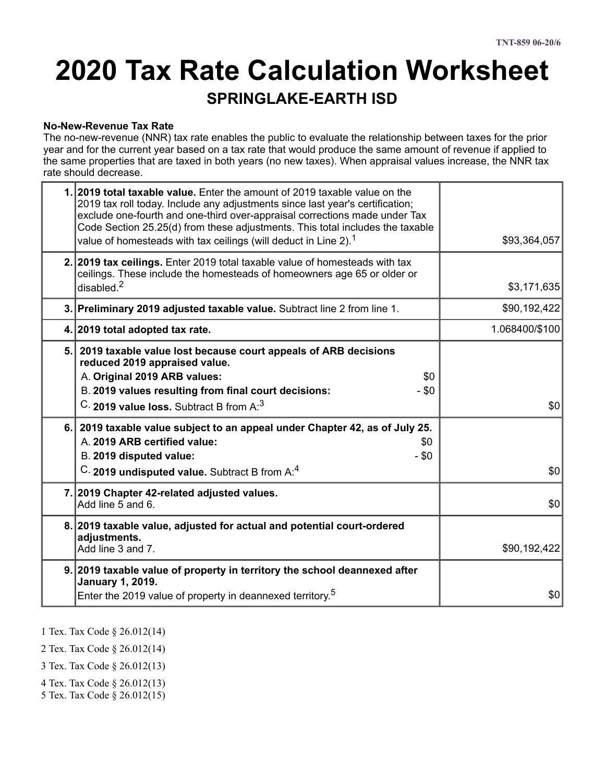# **2020 Tax Rate Calculation Worksheet**

### **SPRINGLAKE-EARTH ISD**

#### **No-New-Revenue Tax Rate**

The no-new-revenue (NNR) tax rate enables the public to evaluate the relationship between taxes for the prior year and for the current year based on a tax rate that would produce the same amount of revenue if applied to the same properties that are taxed in both years (no new taxes). When appraisal values increase, the NNR tax rate should decrease.

|     | 1. 2019 total taxable value. Enter the amount of 2019 taxable value on the<br>2019 tax roll today. Include any adjustments since last year's certification;<br>exclude one-fourth and one-third over-appraisal corrections made under Tax<br>Code Section 25.25(d) from these adjustments. This total includes the taxable<br>value of homesteads with tax ceilings (will deduct in Line 2). <sup>1</sup> | \$93,364,057   |
|-----|-----------------------------------------------------------------------------------------------------------------------------------------------------------------------------------------------------------------------------------------------------------------------------------------------------------------------------------------------------------------------------------------------------------|----------------|
|     | 2. 2019 tax ceilings. Enter 2019 total taxable value of homesteads with tax<br>ceilings. These include the homesteads of homeowners age 65 or older or<br>disabled <sup>2</sup>                                                                                                                                                                                                                           | \$3,171,635    |
|     | 3. Preliminary 2019 adjusted taxable value. Subtract line 2 from line 1.                                                                                                                                                                                                                                                                                                                                  | \$90,192,422   |
|     | 4. 2019 total adopted tax rate.                                                                                                                                                                                                                                                                                                                                                                           | 1.068400/\$100 |
| 5.1 | 2019 taxable value lost because court appeals of ARB decisions<br>reduced 2019 appraised value.<br>A. Original 2019 ARB values:<br>\$0<br>B. 2019 values resulting from final court decisions:<br>- \$0<br>C. 2019 value loss. Subtract B from A: <sup>3</sup>                                                                                                                                            | \$0            |
| 6.1 | 2019 taxable value subject to an appeal under Chapter 42, as of July 25.<br>A. 2019 ARB certified value:<br>\$0<br>B. 2019 disputed value:<br>$-$ \$0<br>C. 2019 undisputed value. Subtract B from A:4                                                                                                                                                                                                    | \$0            |
|     | 7. 2019 Chapter 42-related adjusted values.<br>Add line 5 and 6.                                                                                                                                                                                                                                                                                                                                          | \$0            |
|     | 8. 2019 taxable value, adjusted for actual and potential court-ordered<br>adjustments.<br>Add line 3 and 7.                                                                                                                                                                                                                                                                                               | \$90,192,422   |
|     | 9. 2019 taxable value of property in territory the school deannexed after<br>January 1, 2019.<br>Enter the 2019 value of property in deannexed territory. <sup>5</sup>                                                                                                                                                                                                                                    | \$0            |

1 Tex. Tax Code § 26.012(14)

2 Tex. Tax Code § 26.012(14)

3 Tex. Tax Code § 26.012(13)

- 4 Tex. Tax Code § 26.012(13)
- 5 Tex. Tax Code § 26.012(15)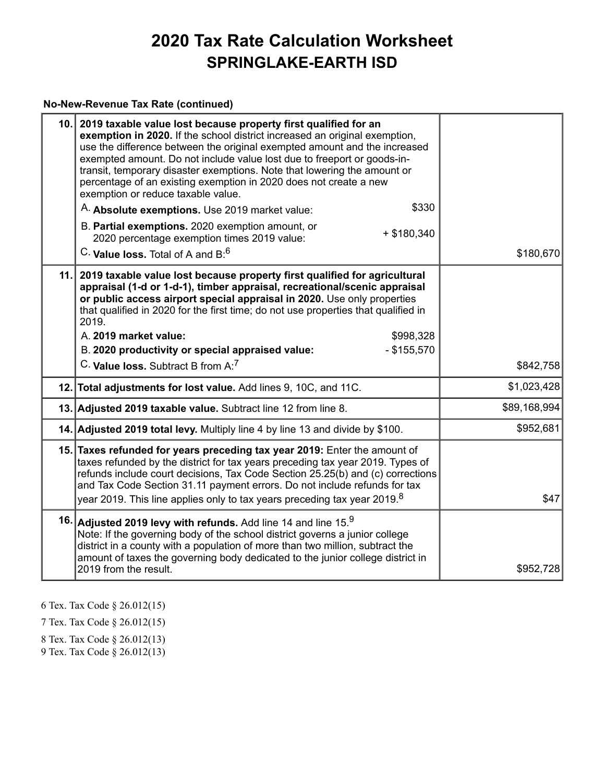#### **No-New-Revenue Tax Rate (continued)**

|     | 10. 2019 taxable value lost because property first qualified for an<br>exemption in 2020. If the school district increased an original exemption,<br>use the difference between the original exempted amount and the increased<br>exempted amount. Do not include value lost due to freeport or goods-in-<br>transit, temporary disaster exemptions. Note that lowering the amount or<br>percentage of an existing exemption in 2020 does not create a new<br>exemption or reduce taxable value.<br>\$330<br>A. Absolute exemptions. Use 2019 market value:<br>B. Partial exemptions. 2020 exemption amount, or<br>$+$ \$180,340<br>2020 percentage exemption times 2019 value:<br>C. Value loss. Total of A and $B:6$ | \$180,670    |
|-----|------------------------------------------------------------------------------------------------------------------------------------------------------------------------------------------------------------------------------------------------------------------------------------------------------------------------------------------------------------------------------------------------------------------------------------------------------------------------------------------------------------------------------------------------------------------------------------------------------------------------------------------------------------------------------------------------------------------------|--------------|
| 11. | 2019 taxable value lost because property first qualified for agricultural<br>appraisal (1-d or 1-d-1), timber appraisal, recreational/scenic appraisal<br>or public access airport special appraisal in 2020. Use only properties<br>that qualified in 2020 for the first time; do not use properties that qualified in<br>2019.<br>A. 2019 market value:<br>\$998,328<br>B. 2020 productivity or special appraised value:<br>$-$ \$155,570                                                                                                                                                                                                                                                                            |              |
|     | C. Value loss. Subtract B from A: <sup>7</sup>                                                                                                                                                                                                                                                                                                                                                                                                                                                                                                                                                                                                                                                                         | \$842,758    |
|     | 12. Total adjustments for lost value. Add lines 9, 10C, and 11C.                                                                                                                                                                                                                                                                                                                                                                                                                                                                                                                                                                                                                                                       | \$1,023,428  |
|     | 13. Adjusted 2019 taxable value. Subtract line 12 from line 8.                                                                                                                                                                                                                                                                                                                                                                                                                                                                                                                                                                                                                                                         | \$89,168,994 |
|     | 14. Adjusted 2019 total levy. Multiply line 4 by line 13 and divide by \$100.                                                                                                                                                                                                                                                                                                                                                                                                                                                                                                                                                                                                                                          | \$952,681    |
|     | 15. Taxes refunded for years preceding tax year 2019: Enter the amount of<br>taxes refunded by the district for tax years preceding tax year 2019. Types of<br>refunds include court decisions, Tax Code Section 25.25(b) and (c) corrections<br>and Tax Code Section 31.11 payment errors. Do not include refunds for tax<br>year 2019. This line applies only to tax years preceding tax year 2019. $^{\rm 8}$                                                                                                                                                                                                                                                                                                       | \$47         |
|     | 16. Adjusted 2019 levy with refunds. Add line 14 and line $15.9$<br>Note: If the governing body of the school district governs a junior college<br>district in a county with a population of more than two million, subtract the<br>amount of taxes the governing body dedicated to the junior college district in<br>2019 from the result.                                                                                                                                                                                                                                                                                                                                                                            | \$952,728    |

6 Tex. Tax Code § 26.012(15)

7 Tex. Tax Code § 26.012(15)

8 Tex. Tax Code § 26.012(13)

9 Tex. Tax Code § 26.012(13)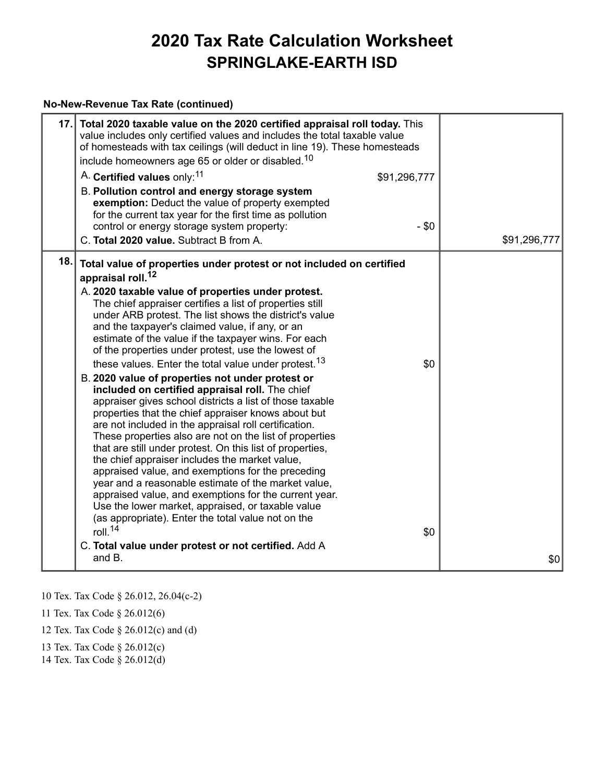#### **No-New-Revenue Tax Rate (continued)**

| 17. | Total 2020 taxable value on the 2020 certified appraisal roll today. This<br>value includes only certified values and includes the total taxable value<br>of homesteads with tax ceilings (will deduct in line 19). These homesteads<br>include homeowners age 65 or older or disabled. <sup>10</sup><br>A. Certified values only: <sup>11</sup><br>\$91,296,777<br>B. Pollution control and energy storage system<br>exemption: Deduct the value of property exempted<br>for the current tax year for the first time as pollution<br>control or energy storage system property:<br>- \$0<br>C. Total 2020 value. Subtract B from A.                                                                                                                                                                                                                                                                                                                                                                                                                                                                                                                                                                                                                                                                                                                    | \$91,296,777 |
|-----|---------------------------------------------------------------------------------------------------------------------------------------------------------------------------------------------------------------------------------------------------------------------------------------------------------------------------------------------------------------------------------------------------------------------------------------------------------------------------------------------------------------------------------------------------------------------------------------------------------------------------------------------------------------------------------------------------------------------------------------------------------------------------------------------------------------------------------------------------------------------------------------------------------------------------------------------------------------------------------------------------------------------------------------------------------------------------------------------------------------------------------------------------------------------------------------------------------------------------------------------------------------------------------------------------------------------------------------------------------|--------------|
| 18. | Total value of properties under protest or not included on certified<br>appraisal roll. <sup>12</sup><br>A. 2020 taxable value of properties under protest.<br>The chief appraiser certifies a list of properties still<br>under ARB protest. The list shows the district's value<br>and the taxpayer's claimed value, if any, or an<br>estimate of the value if the taxpayer wins. For each<br>of the properties under protest, use the lowest of<br>these values. Enter the total value under protest. <sup>13</sup><br>\$0<br>B. 2020 value of properties not under protest or<br>included on certified appraisal roll. The chief<br>appraiser gives school districts a list of those taxable<br>properties that the chief appraiser knows about but<br>are not included in the appraisal roll certification.<br>These properties also are not on the list of properties<br>that are still under protest. On this list of properties,<br>the chief appraiser includes the market value,<br>appraised value, and exemptions for the preceding<br>year and a reasonable estimate of the market value,<br>appraised value, and exemptions for the current year.<br>Use the lower market, appraised, or taxable value<br>(as appropriate). Enter the total value not on the<br>roll. $14$<br>\$0<br>C. Total value under protest or not certified. Add A |              |
|     | and $B1$                                                                                                                                                                                                                                                                                                                                                                                                                                                                                                                                                                                                                                                                                                                                                                                                                                                                                                                                                                                                                                                                                                                                                                                                                                                                                                                                                | \$0          |

10 Tex. Tax Code § 26.012, 26.04(c-2)

11 Tex. Tax Code § 26.012(6)

12 Tex. Tax Code § 26.012(c) and (d)

13 Tex. Tax Code § 26.012(c)

14 Tex. Tax Code § 26.012(d)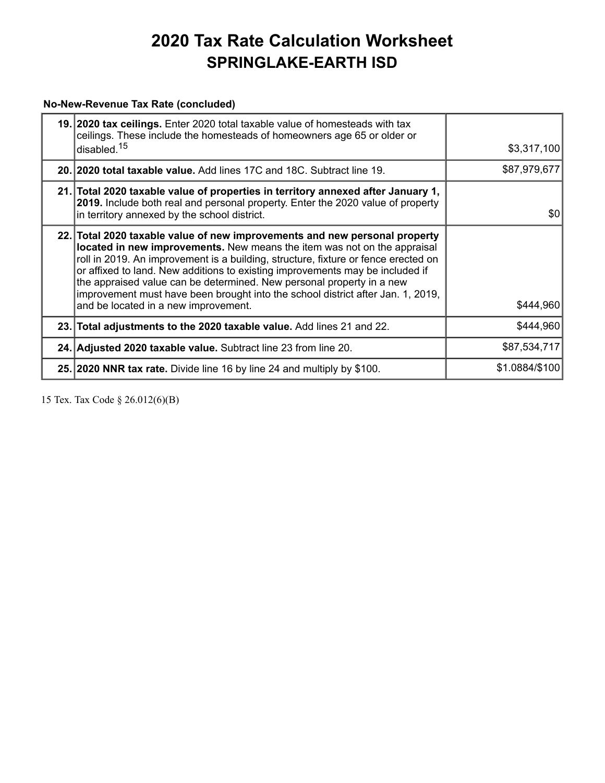### **No-New-Revenue Tax Rate (concluded)**

| 19. 2020 tax ceilings. Enter 2020 total taxable value of homesteads with tax<br>ceilings. These include the homesteads of homeowners age 65 or older or<br>disabled. <sup>15</sup>                                                                                                                                                                                                                                                                                                                                                | \$3,317,100    |
|-----------------------------------------------------------------------------------------------------------------------------------------------------------------------------------------------------------------------------------------------------------------------------------------------------------------------------------------------------------------------------------------------------------------------------------------------------------------------------------------------------------------------------------|----------------|
| 20. 2020 total taxable value. Add lines 17C and 18C. Subtract line 19.                                                                                                                                                                                                                                                                                                                                                                                                                                                            | \$87,979,677   |
| 21. Total 2020 taxable value of properties in territory annexed after January 1,<br>2019. Include both real and personal property. Enter the 2020 value of property<br>in territory annexed by the school district.                                                                                                                                                                                                                                                                                                               | \$0            |
| 22. Total 2020 taxable value of new improvements and new personal property<br>located in new improvements. New means the item was not on the appraisal<br>roll in 2019. An improvement is a building, structure, fixture or fence erected on<br>or affixed to land. New additions to existing improvements may be included if<br>the appraised value can be determined. New personal property in a new<br>improvement must have been brought into the school district after Jan. 1, 2019,<br>and be located in a new improvement. | \$444,960      |
| 23. Total adjustments to the 2020 taxable value. Add lines 21 and 22.                                                                                                                                                                                                                                                                                                                                                                                                                                                             | \$444,960      |
| 24. Adjusted 2020 taxable value. Subtract line 23 from line 20.                                                                                                                                                                                                                                                                                                                                                                                                                                                                   | \$87,534,717   |
| 25. 2020 NNR tax rate. Divide line 16 by line 24 and multiply by \$100.                                                                                                                                                                                                                                                                                                                                                                                                                                                           | \$1.0884/\$100 |

15 Tex. Tax Code § 26.012(6)(B)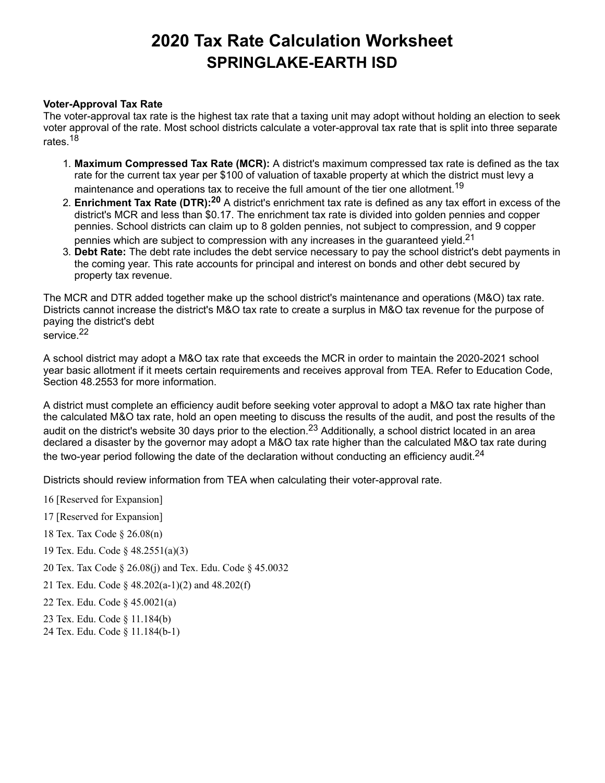#### **Voter-Approval Tax Rate**

The voter-approval tax rate is the highest tax rate that a taxing unit may adopt without holding an election to seek voter approval of the rate. Most school districts calculate a voter-approval tax rate that is split into three separate rates.<sup>18</sup>

- 1. **Maximum Compressed Tax Rate (MCR):** A district's maximum compressed tax rate is defined as the tax rate for the current tax year per \$100 of valuation of taxable property at which the district must levy a maintenance and operations tax to receive the full amount of the tier one allotment. $^{\mathsf{19}}$
- 2. **Enrichment Tax Rate (DTR): <sup>20</sup>** A district's enrichment tax rate is defined as any tax effort in excess of the district's MCR and less than \$0.17. The enrichment tax rate is divided into golden pennies and copper pennies. School districts can claim up to 8 golden pennies, not subject to compression, and 9 copper pennies which are subject to compression with any increases in the guaranteed yield. $^{\mathsf{21}}$
- 3. **Debt Rate:** The debt rate includes the debt service necessary to pay the school district's debt payments in the coming year. This rate accounts for principal and interest on bonds and other debt secured by property tax revenue.

The MCR and DTR added together make up the school district's maintenance and operations (M&O) tax rate. Districts cannot increase the district's M&O tax rate to create a surplus in M&O tax revenue for the purpose of paying the district's debt

service. 22

A school district may adopt a M&O tax rate that exceeds the MCR in order to maintain the 2020-2021 school year basic allotment if it meets certain requirements and receives approval from TEA. Refer to Education Code, Section 48.2553 for more information.

A district must complete an efficiency audit before seeking voter approval to adopt a M&O tax rate higher than the calculated M&O tax rate, hold an open meeting to discuss the results of the audit, and post the results of the audit on the district's website 30 days prior to the election.<sup>23</sup> Additionally, a school district located in an area declared a disaster by the governor may adopt a M&O tax rate higher than the calculated M&O tax rate during the two-year period following the date of the declaration without conducting an efficiency audit. $^{\mathsf{24}}$ 

Districts should review information from TEA when calculating their voter-approval rate.

- 16 [Reserved for Expansion]
- 17 [Reserved for Expansion]
- 18 Tex. Tax Code § 26.08(n)
- 19 Tex. Edu. Code § 48.2551(a)(3)
- 20 Tex. Tax Code § 26.08(j) and Tex. Edu. Code § 45.0032
- 21 Tex. Edu. Code § 48.202(a-1)(2) and 48.202(f)
- 22 Tex. Edu. Code § 45.0021(a)
- 23 Tex. Edu. Code § 11.184(b)
- 24 Tex. Edu. Code § 11.184(b-1)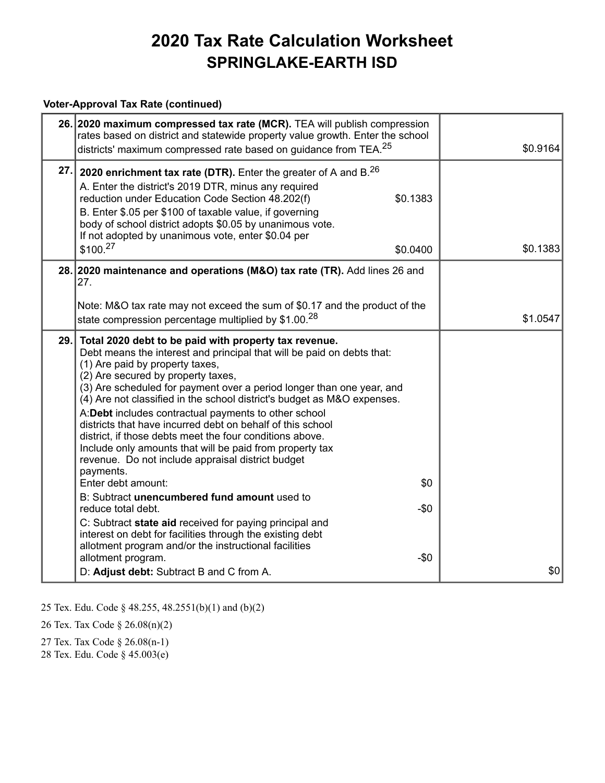#### **Voter-Approval Tax Rate (continued)**

|      | 26. 2020 maximum compressed tax rate (MCR). TEA will publish compression<br>rates based on district and statewide property value growth. Enter the school<br>districts' maximum compressed rate based on guidance from TEA. <sup>25</sup>                                                                                                                                                                                                                                                                                                                                                                                                                                                                                                                                                                                                                                                                                                                                                               | \$0.9164 |
|------|---------------------------------------------------------------------------------------------------------------------------------------------------------------------------------------------------------------------------------------------------------------------------------------------------------------------------------------------------------------------------------------------------------------------------------------------------------------------------------------------------------------------------------------------------------------------------------------------------------------------------------------------------------------------------------------------------------------------------------------------------------------------------------------------------------------------------------------------------------------------------------------------------------------------------------------------------------------------------------------------------------|----------|
| 27.  | 2020 enrichment tax rate (DTR). Enter the greater of A and B. <sup>26</sup><br>A. Enter the district's 2019 DTR, minus any required<br>\$0.1383<br>reduction under Education Code Section 48.202(f)<br>B. Enter \$.05 per \$100 of taxable value, if governing<br>body of school district adopts \$0.05 by unanimous vote.<br>If not adopted by unanimous vote, enter \$0.04 per<br>\$100. <sup>27</sup><br>\$0.0400                                                                                                                                                                                                                                                                                                                                                                                                                                                                                                                                                                                    | \$0.1383 |
|      | 28. 2020 maintenance and operations (M&O) tax rate (TR). Add lines 26 and<br>27.                                                                                                                                                                                                                                                                                                                                                                                                                                                                                                                                                                                                                                                                                                                                                                                                                                                                                                                        |          |
|      | Note: M&O tax rate may not exceed the sum of \$0.17 and the product of the<br>state compression percentage multiplied by \$1.00. <sup>28</sup>                                                                                                                                                                                                                                                                                                                                                                                                                                                                                                                                                                                                                                                                                                                                                                                                                                                          | \$1.0547 |
| 29.1 | Total 2020 debt to be paid with property tax revenue.<br>Debt means the interest and principal that will be paid on debts that:<br>(1) Are paid by property taxes,<br>(2) Are secured by property taxes,<br>(3) Are scheduled for payment over a period longer than one year, and<br>(4) Are not classified in the school district's budget as M&O expenses.<br>A:Debt includes contractual payments to other school<br>districts that have incurred debt on behalf of this school<br>district, if those debts meet the four conditions above.<br>Include only amounts that will be paid from property tax<br>revenue. Do not include appraisal district budget<br>payments.<br>\$0<br>Enter debt amount:<br>B: Subtract unencumbered fund amount used to<br>$-50$<br>reduce total debt.<br>C: Subtract state aid received for paying principal and<br>interest on debt for facilities through the existing debt<br>allotment program and/or the instructional facilities<br>allotment program.<br>-\$0 |          |
|      | D: Adjust debt: Subtract B and C from A.                                                                                                                                                                                                                                                                                                                                                                                                                                                                                                                                                                                                                                                                                                                                                                                                                                                                                                                                                                | \$0      |

25 Tex. Edu. Code § 48.255, 48.2551(b)(1) and (b)(2)

26 Tex. Tax Code § 26.08(n)(2)

27 Tex. Tax Code § 26.08(n-1)

28 Tex. Edu. Code § 45.003(e)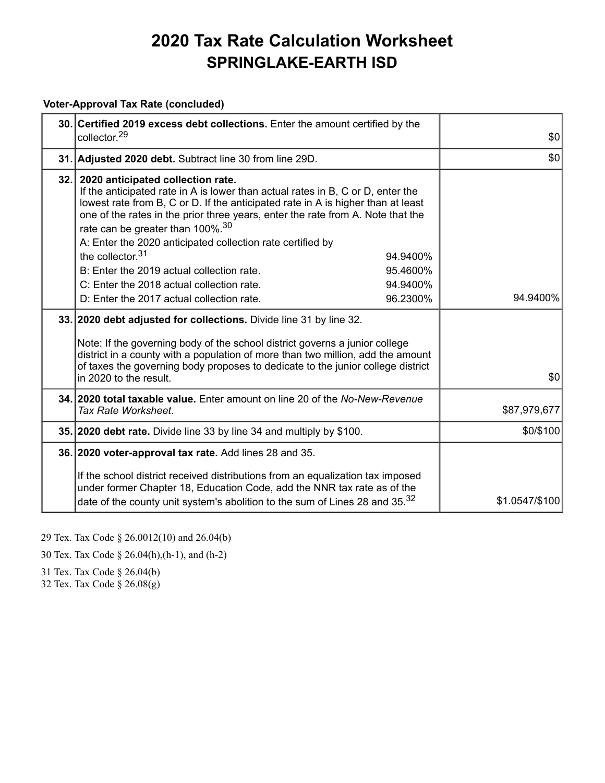#### **Voter-Approval Tax Rate (concluded)**

| 30. Certified 2019 excess debt collections. Enter the amount certified by the<br>collector. <sup>29</sup>                                                                                                                                                                                                                                                                                                                                                 | \$0            |
|-----------------------------------------------------------------------------------------------------------------------------------------------------------------------------------------------------------------------------------------------------------------------------------------------------------------------------------------------------------------------------------------------------------------------------------------------------------|----------------|
| 31. Adjusted 2020 debt. Subtract line 30 from line 29D.                                                                                                                                                                                                                                                                                                                                                                                                   | \$0            |
| 32. 2020 anticipated collection rate.<br>If the anticipated rate in A is lower than actual rates in B, C or D, enter the<br>lowest rate from B, C or D. If the anticipated rate in A is higher than at least<br>one of the rates in the prior three years, enter the rate from A. Note that the<br>rate can be greater than 100%. <sup>30</sup><br>A: Enter the 2020 anticipated collection rate certified by<br>the collector. <sup>31</sup><br>94.9400% |                |
| B: Enter the 2019 actual collection rate.<br>95.4600%<br>C: Enter the 2018 actual collection rate.<br>94.9400%<br>D: Enter the 2017 actual collection rate.<br>96.2300%                                                                                                                                                                                                                                                                                   | 94.9400%       |
| 33. 2020 debt adjusted for collections. Divide line 31 by line 32.<br>Note: If the governing body of the school district governs a junior college<br>district in a county with a population of more than two million, add the amount<br>of taxes the governing body proposes to dedicate to the junior college district<br>in 2020 to the result.                                                                                                         | \$0            |
| 34. 2020 total taxable value. Enter amount on line 20 of the No-New-Revenue<br>Tax Rate Worksheet.                                                                                                                                                                                                                                                                                                                                                        | \$87,979,677   |
| 35. 2020 debt rate. Divide line 33 by line 34 and multiply by \$100.                                                                                                                                                                                                                                                                                                                                                                                      | \$0/\$100      |
| 36. 2020 voter-approval tax rate. Add lines 28 and 35.<br>If the school district received distributions from an equalization tax imposed<br>under former Chapter 18, Education Code, add the NNR tax rate as of the<br>date of the county unit system's abolition to the sum of Lines 28 and 35. <sup>32</sup>                                                                                                                                            | \$1.0547/\$100 |

<sup>29</sup> Tex. Tax Code § 26.0012(10) and 26.04(b)

30 Tex. Tax Code § 26.04(h),(h-1), and (h-2)

31 Tex. Tax Code § 26.04(b)

32 Tex. Tax Code § 26.08(g)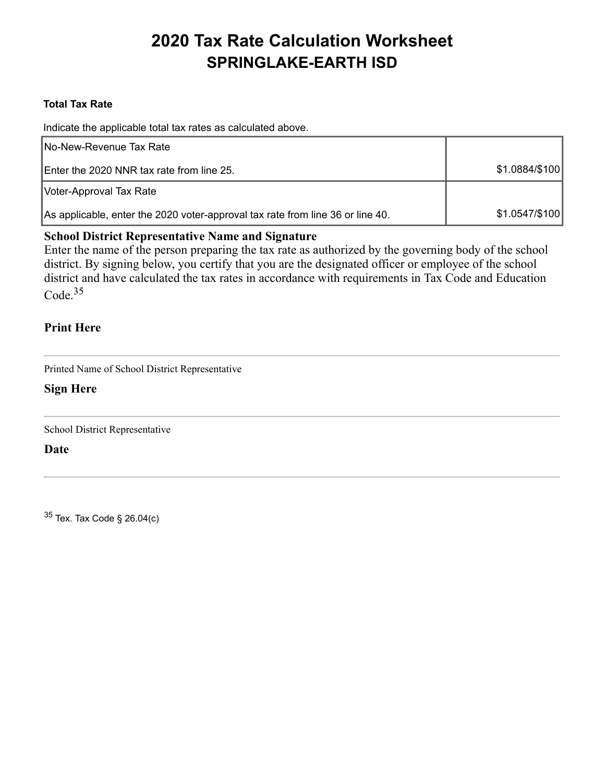### **Total Tax Rate**

Indicate the applicable total tax rates as calculated above.

| No-New-Revenue Tax Rate                                                        |                |
|--------------------------------------------------------------------------------|----------------|
| Enter the 2020 NNR tax rate from line 25.                                      | \$1.0884/\$100 |
| Voter-Approval Tax Rate                                                        |                |
| As applicable, enter the 2020 voter-approval tax rate from line 36 or line 40. | \$1.0547/\$100 |

### **School District Representative Name and Signature**

Enter the name of the person preparing the tax rate as authorized by the governing body of the school district. By signing below, you certify that you are the designated officer or employee of the school district and have calculated the tax rates in accordance with requirements in Tax Code and Education Code.<sup>35</sup>

### **Print Here**

Printed Name of School District Representative

### **Sign Here**

School District Representative

**Date**

<sup>35</sup> Tex. Tax Code § 26.04(c)